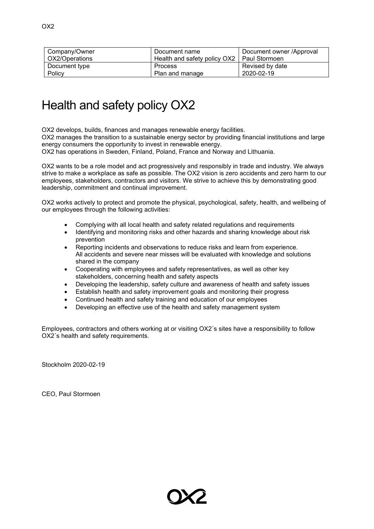| Company/Owner<br>OX2/Operations | Document name<br>Health and safety policy OX2   Paul Stormoen | Document owner /Approval |
|---------------------------------|---------------------------------------------------------------|--------------------------|
| Document type                   | <b>Process</b>                                                | Revised by date          |
| Policy                          | Plan and manage                                               | 2020-02-19               |

## Health and safety policy OX2

OX2 develops, builds, finances and manages renewable energy facilities.

OX2 manages the transition to a sustainable energy sector by providing financial institutions and large energy consumers the opportunity to invest in renewable energy.

OX2 has operations in Sweden, Finland, Poland, France and Norway and Lithuania.

OX2 wants to be a role model and act progressively and responsibly in trade and industry. We always strive to make a workplace as safe as possible. The OX2 vision is zero accidents and zero harm to our employees, stakeholders, contractors and visitors. We strive to achieve this by demonstrating good leadership, commitment and continual improvement.

OX2 works actively to protect and promote the physical, psychological, safety, health, and wellbeing of our employees through the following activities:

- Complying with all local health and safety related regulations and requirements
- Identifying and monitoring risks and other hazards and sharing knowledge about risk prevention
- Reporting incidents and observations to reduce risks and learn from experience. All accidents and severe near misses will be evaluated with knowledge and solutions shared in the company
- Cooperating with employees and safety representatives, as well as other key stakeholders, concerning health and safety aspects
- Developing the leadership, safety culture and awareness of health and safety issues
- Establish health and safety improvement goals and monitoring their progress
- Continued health and safety training and education of our employees
- Developing an effective use of the health and safety management system

Employees, contractors and others working at or visiting OX2´s sites have a responsibility to follow OX2´s health and safety requirements.

Stockholm 2020-02-19

CEO, Paul Stormoen